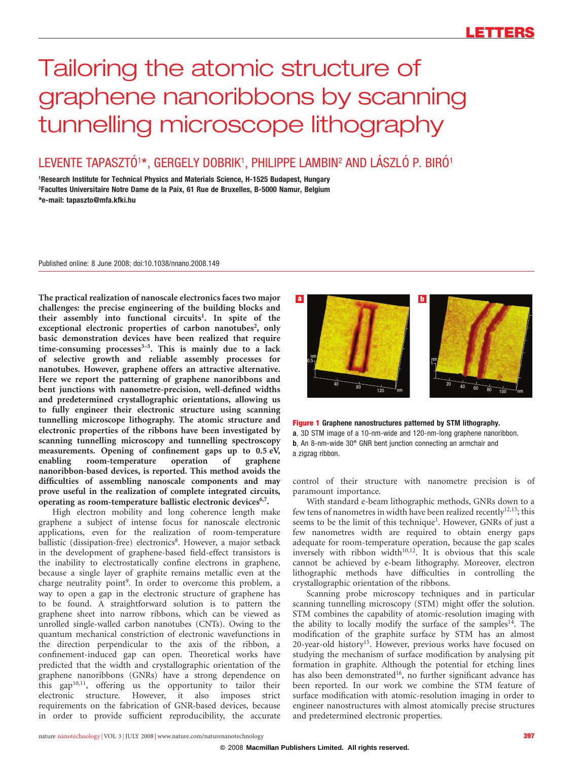# Tailoring the atomic structure of graphene nanoribbons by scanning tunnelling microscope lithography

# LEVENTE TAPASZTÓ $^{1\star}$ , GERGELY DOBRIK $^1$ , PHILIPPE LAMBIN $^2$  AND LÁSZLÓ P. BIRÓ $^1$

1Research Institute for Technical Physics and Materials Science, H-1525 Budapest, Hungary 2Facultes Universitaire Notre Dame de la Paix, 61 Rue de Bruxelles, B-5000 Namur, Belgium [\\*e-mail: tapaszto@mfa.kfki.hu](mailto:tapaszto@mfa.kfki.hu)

Published online: 8 June 2008; [doi:10.1038/nnano.2008.149](http://www.nature.com/doifinder/10.1038/nnano.2008.149)

The practical realization of nanoscale electronics faces two major challenges: the precise engineering of the building blocks and their assembly into functional circuits<sup>1</sup>. In spite of the exceptional electronic properties of carbon nanotubes<sup>2</sup>, only basic demonstration devices have been realized that require time-consuming processes $3-5$ . This is mainly due to a lack of selective growth and reliable assembly processes for nanotubes. However, graphene offers an attractive alternative. Here we report the patterning of graphene nanoribbons and bent junctions with nanometre-precision, well-defined widths and predetermined crystallographic orientations, allowing us to fully engineer their electronic structure using scanning tunnelling microscope lithography. The atomic structure and electronic properties of the ribbons have been investigated by scanning tunnelling microscopy and tunnelling spectroscopy measurements. Opening of confinement gaps up to 0.5 eV, enabling room-temperature operation of graphene nanoribbon-based devices, is reported. This method avoids the difficulties of assembling nanoscale components and may prove useful in the realization of complete integrated circuits, operating as room-temperature ballistic electronic devices<sup>6,7</sup>.

High electron mobility and long coherence length make graphene a subject of intense focus for nanoscale electronic applications, even for the realization of room-temperature ballistic (dissipation-free) electronics<sup>8</sup>. However, a major setback in the development of graphene-based field-effect transistors is the inability to electrostatically confine electrons in graphene, because a single layer of graphite remains metallic even at the charge neutrality point<sup>9</sup>. In order to overcome this problem, a way to open a gap in the electronic structure of graphene has to be found. A straightforward solution is to pattern the graphene sheet into narrow ribbons, which can be viewed as unrolled single-walled carbon nanotubes (CNTs). Owing to the quantum mechanical constriction of electronic wavefunctions in the direction perpendicular to the axis of the ribbon, a confinement-induced gap can open. Theoretical works have predicted that the width and crystallographic orientation of the graphene nanoribbons (GNRs) have a strong dependence on this gap<sup>10,11</sup>, offering us the opportunity to tailor their electronic structure. However, it also imposes strict requirements on the fabrication of GNR-based devices, because in order to provide sufficient reproducibility, the accurate



Figure 1 Graphene nanostructures patterned by STM lithography. a, 3D STM image of a 10-nm-wide and 120-nm-long graphene nanoribbon. b, An 8-nm-wide 30° GNR bent junction connecting an armchair and a zigzag ribbon.

control of their structure with nanometre precision is of paramount importance.

With standard e-beam lithographic methods, GNRs down to a few tens of nanometres in width have been realized recently<sup>12,13</sup>; this seems to be the limit of this technique<sup>1</sup>. However, GNRs of just a few nanometres width are required to obtain energy gaps adequate for room-temperature operation, because the gap scales inversely with ribbon width $10,12$ . It is obvious that this scale cannot be achieved by e-beam lithography. Moreover, electron lithographic methods have difficulties in controlling the crystallographic orientation of the ribbons.

Scanning probe microscopy techniques and in particular scanning tunnelling microscopy (STM) might offer the solution. STM combines the capability of atomic-resolution imaging with the ability to locally modify the surface of the samples<sup>14</sup>. The modification of the graphite surface by STM has an almost 20-year-old history<sup>15</sup>. However, previous works have focused on studying the mechanism of surface modification by analysing pit formation in graphite. Although the potential for etching lines has also been demonstrated<sup>16</sup>, no further significant advance has been reported. In our work we combine the STM feature of surface modification with atomic-resolution imaging in order to engineer nanostructures with almost atomically precise structures and predetermined electronic properties.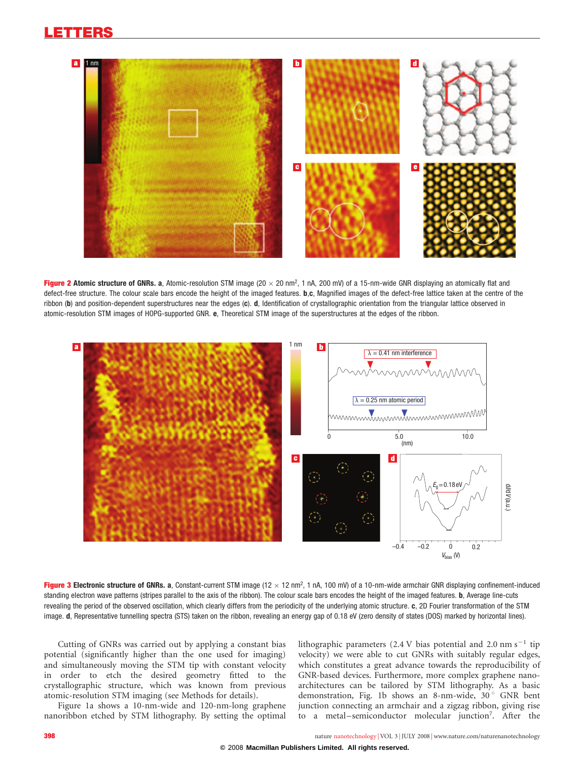

Figure 2 Atomic structure of GNRs. a, Atomic-resolution STM image (20  $\times$  20 nm<sup>2</sup>, 1 nA, 200 mV) of a 15-nm-wide GNR displaying an atomically flat and defect-free structure. The colour scale bars encode the height of the imaged features. b,c, Magnified images of the defect-free lattice taken at the centre of the ribbon (b) and position-dependent superstructures near the edges (c). d, Identification of crystallographic orientation from the triangular lattice observed in atomic-resolution STM images of HOPG-supported GNR. e, Theoretical STM image of the superstructures at the edges of the ribbon.



Figure 3 Electronic structure of GNRs. a, Constant-current STM image (12 x 12 nm<sup>2</sup>, 1 nA, 100 mV) of a 10-nm-wide armchair GNR displaying confinement-induced standing electron wave patterns (stripes parallel to the axis of the ribbon). The colour scale bars encodes the height of the imaged features. **b**, Average line-cuts revealing the period of the observed oscillation, which clearly differs from the periodicity of the underlying atomic structure. c, 2D Fourier transformation of the STM image. d, Representative tunnelling spectra (STS) taken on the ribbon, revealing an energy gap of 0.18 eV (zero density of states (DOS) marked by horizontal lines).

Cutting of GNRs was carried out by applying a constant bias potential (significantly higher than the one used for imaging) and simultaneously moving the STM tip with constant velocity in order to etch the desired geometry fitted to the crystallographic structure, which was known from previous atomic-resolution STM imaging (see [Methods](#page-3-0) for details).

Figure 1a shows a 10-nm-wide and 120-nm-long graphene nanoribbon etched by STM lithography. By setting the optimal

lithographic parameters (2.4 V bias potential and 2.0 nm s<sup>-1</sup> tip velocity) we were able to cut GNRs with suitably regular edges, which constitutes a great advance towards the reproducibility of GNR-based devices. Furthermore, more complex graphene nanoarchitectures can be tailored by STM lithography. As a basic demonstration, Fig. 1b shows an 8-nm-wide,  $30^\circ$  GNR bent junction connecting an armchair and a zigzag ribbon, giving rise to a metal-semiconductor molecular junction<sup>7</sup>. After the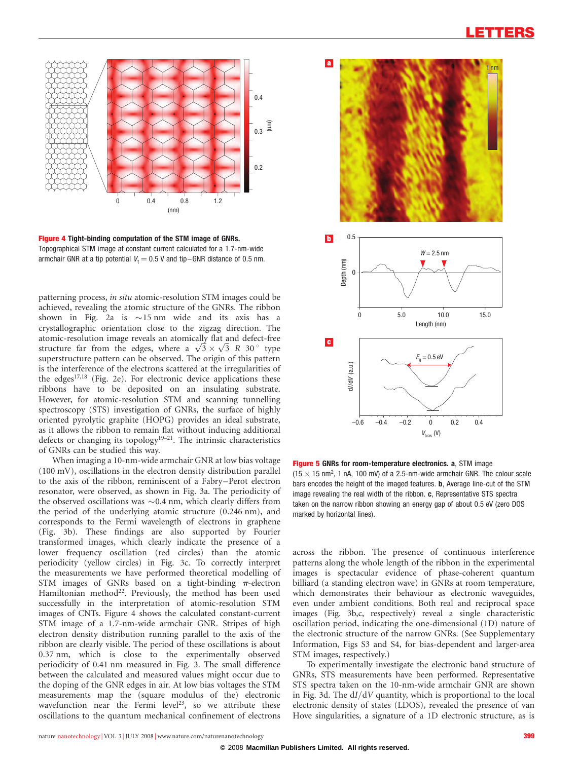

Figure 4 Tight-binding computation of the STM image of GNRs. Topographical STM image at constant current calculated for a 1.7-nm-wide armchair GNR at a tip potential  $V_t = 0.5$  V and tip–GNR distance of 0.5 nm.

patterning process, in situ atomic-resolution STM images could be achieved, revealing the atomic structure of the GNRs. The ribbon shown in Fig. 2a is  $\sim$  15 nm wide and its axis has a crystallographic orientation close to the zigzag direction. The atomic-resolution image reveals an atomically flat and defect-free atomic-resolution image reveals an atomically flat and defect-free<br>structure far from the edges, where a  $\sqrt{3} \times \sqrt{3}$  R 30° type superstructure pattern can be observed. The origin of this pattern is the interference of the electrons scattered at the irregularities of the edges<sup>17,18</sup> (Fig. 2e). For electronic device applications these ribbons have to be deposited on an insulating substrate. However, for atomic-resolution STM and scanning tunnelling spectroscopy (STS) investigation of GNRs, the surface of highly oriented pyrolytic graphite (HOPG) provides an ideal substrate, as it allows the ribbon to remain flat without inducing additional defects or changing its topology<sup>19–21</sup>. The intrinsic characteristics of GNRs can be studied this way.

When imaging a 10-nm-wide armchair GNR at low bias voltage (100 mV), oscillations in the electron density distribution parallel to the axis of the ribbon, reminiscent of a Fabry–Perot electron resonator, were observed, as shown in Fig. 3a. The periodicity of the observed oscillations was  $\sim 0.4$  nm, which clearly differs from the period of the underlying atomic structure (0.246 nm), and corresponds to the Fermi wavelength of electrons in graphene (Fig. 3b). These findings are also supported by Fourier transformed images, which clearly indicate the presence of a lower frequency oscillation (red circles) than the atomic periodicity (yellow circles) in Fig. 3c. To correctly interpret the measurements we have performed theoretical modelling of STM images of GNRs based on a tight-binding  $\pi$ -electron Hamiltonian method<sup>22</sup>. Previously, the method has been used successfully in the interpretation of atomic-resolution STM images of CNTs. Figure 4 shows the calculated constant-current STM image of a 1.7-nm-wide armchair GNR. Stripes of high electron density distribution running parallel to the axis of the ribbon are clearly visible. The period of these oscillations is about 0.37 nm, which is close to the experimentally observed periodicity of 0.41 nm measured in Fig. 3. The small difference between the calculated and measured values might occur due to the doping of the GNR edges in air. At low bias voltages the STM measurements map the (square modulus of the) electronic wavefunction near the Fermi level<sup>23</sup>, so we attribute these oscillations to the quantum mechanical confinement of electrons



Figure 5 GNRs for room-temperature electronics. a, STM image (15  $\times$  15 nm<sup>2</sup>, 1 nA, 100 mV) of a 2.5-nm-wide armchair GNR. The colour scale bars encodes the height of the imaged features. b, Average line-cut of the STM image revealing the real width of the ribbon. c, Representative STS spectra taken on the narrow ribbon showing an energy gap of about 0.5 eV (zero DOS marked by horizontal lines).

across the ribbon. The presence of continuous interference patterns along the whole length of the ribbon in the experimental images is spectacular evidence of phase-coherent quantum billiard (a standing electron wave) in GNRs at room temperature, which demonstrates their behaviour as electronic waveguides, even under ambient conditions. Both real and reciprocal space images (Fig. 3b,c, respectively) reveal a single characteristic oscillation period, indicating the one-dimensional (1D) nature of the electronic structure of the narrow GNRs. (See Supplementary Information, Figs S3 and S4, for bias-dependent and larger-area STM images, respectively.)

To experimentally investigate the electronic band structure of GNRs, STS measurements have been performed. Representative STS spectra taken on the 10-nm-wide armchair GNR are shown in Fig. 3d. The dI/dV quantity, which is proportional to the local electronic density of states (LDOS), revealed the presence of van Hove singularities, a signature of a 1D electronic structure, as is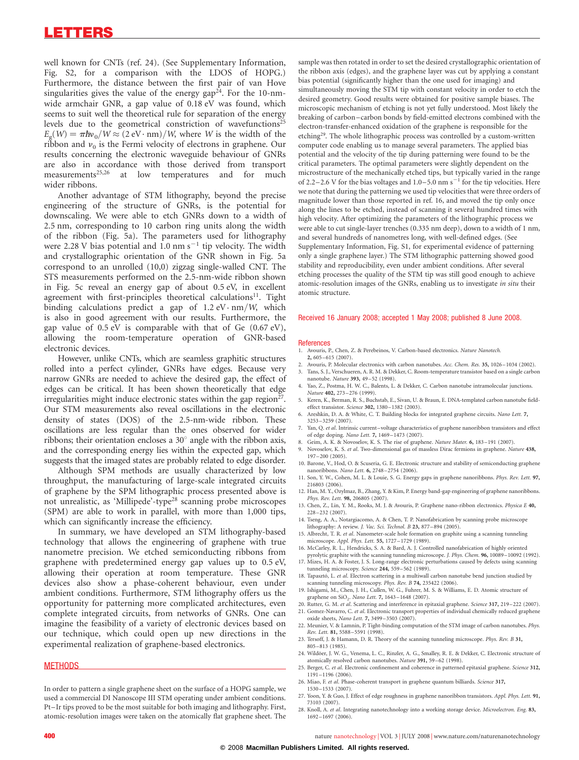<span id="page-3-0"></span>well known for CNTs (ref. 24). (See Supplementary Information, Fig. S2, for a comparison with the LDOS of HOPG.) Furthermore, the distance between the first pair of van Hove singularities gives the value of the energy gap<sup>24</sup>. For the 10-nmwide armchair GNR, a gap value of 0.18 eV was found, which seems to suit well the theoretical rule for separation of the energy levels due to the geometrical constriction of wavefunctions<sup>25</sup>  $E_{\alpha}(W) = \pi \hbar v_0/W \approx (2 \text{ eV} \cdot \text{nm})/W$ , where W is the width of the ribbon and  $v_0$  is the Fermi velocity of electrons in graphene. Our results concerning the electronic waveguide behaviour of GNRs are also in accordance with those derived from transport measurements<sup>25,26</sup> at low temperatures and for much at low temperatures and for wider ribbons.

Another advantage of STM lithography, beyond the precise engineering of the structure of GNRs, is the potential for downscaling. We were able to etch GNRs down to a width of 2.5 nm, corresponding to 10 carbon ring units along the width of the ribbon (Fig. 5a). The parameters used for lithography were 2.28 V bias potential and  $1.0 \text{ nm s}^{-1}$  tip velocity. The width and crystallographic orientation of the GNR shown in Fig. 5a correspond to an unrolled (10,0) zigzag single-walled CNT. The STS measurements performed on the 2.5-nm-wide ribbon shown in Fig. 5c reveal an energy gap of about 0.5 eV, in excellent agreement with first-principles theoretical calculations<sup>11</sup>. Tight binding calculations predict a gap of  $1.2 \text{ eV} \cdot \text{nm} / W$ , which is also in good agreement with our results. Furthermore, the gap value of 0.5 eV is comparable with that of Ge (0.67 eV), allowing the room-temperature operation of GNR-based electronic devices.

However, unlike CNTs, which are seamless graphitic structures rolled into a perfect cylinder, GNRs have edges. Because very narrow GNRs are needed to achieve the desired gap, the effect of edges can be critical. It has been shown theoretically that edge irregularities might induce electronic states within the gap region $27$ . Our STM measurements also reveal oscillations in the electronic density of states (DOS) of the 2.5-nm-wide ribbon. These oscillations are less regular than the ones observed for wider ribbons; their orientation encloses a  $30^{\circ}$  angle with the ribbon axis, and the corresponding energy lies within the expected gap, which suggests that the imaged states are probably related to edge disorder.

Although SPM methods are usually characterized by low throughput, the manufacturing of large-scale integrated circuits of graphene by the SPM lithographic process presented above is not unrealistic, as 'Millipede'-type<sup>28</sup> scanning probe microscopes (SPM) are able to work in parallel, with more than 1,000 tips, which can significantly increase the efficiency.

In summary, we have developed an STM lithography-based technology that allows the engineering of graphene with true nanometre precision. We etched semiconducting ribbons from graphene with predetermined energy gap values up to 0.5 eV, allowing their operation at room temperature. These GNR devices also show a phase-coherent behaviour, even under ambient conditions. Furthermore, STM lithography offers us the opportunity for patterning more complicated architectures, even complete integrated circuits, from networks of GNRs. One can imagine the feasibility of a variety of electronic devices based on our technique, which could open up new directions in the experimental realization of graphene-based electronics.

# **METHODS**

In order to pattern a single graphene sheet on the surface of a HOPG sample, we used a commercial DI Nanoscope III STM operating under ambient conditions. Pt– Ir tips proved to be the most suitable for both imaging and lithography. First, atomic-resolution images were taken on the atomically flat graphene sheet. The

sample was then rotated in order to set the desired crystallographic orientation of the ribbon axis (edges), and the graphene layer was cut by applying a constant bias potential (significantly higher than the one used for imaging) and simultaneously moving the STM tip with constant velocity in order to etch the desired geometry. Good results were obtained for positive sample biases. The microscopic mechanism of etching is not yet fully understood. Most likely the breaking of carbon –carbon bonds by field-emitted electrons combined with the electron-transfer-enhanced oxidation of the graphene is responsible for the etching<sup>29</sup>. The whole lithographic process was controlled by a custom-written computer code enabling us to manage several parameters. The applied bias potential and the velocity of the tip during patterning were found to be the critical parameters. The optimal parameters were slightly dependent on the microstructure of the mechanically etched tips, but typically varied in the range of 2.2–2.6 V for the bias voltages and  $1.0-5.0$  nm s<sup>-1</sup> for the tip velocities. Here we note that during the patterning we used tip velocities that were three orders of magnitude lower than those reported in ref. 16, and moved the tip only once along the lines to be etched, instead of scanning it several hundred times with high velocity. After optimizing the parameters of the lithographic process we were able to cut single-layer trenches (0.335 nm deep), down to a width of 1 nm, and several hundreds of nanometres long, with well-defined edges. (See Supplementary Information, Fig. S1, for experimental evidence of patterning only a single graphene layer.) The STM lithographic patterning showed good stability and reproducibility, even under ambient conditions. After several etching processes the quality of the STM tip was still good enough to achieve atomic-resolution images of the GNRs, enabling us to investigate in situ their atomic structure.

#### Received 16 January 2008; accepted 1 May 2008; published 8 June 2008.

#### References

- 1. Avouris, P., Chen, Z. & Perebeinos, V. Carbon-based electronics. Nature Nanotech. 2, 605–615 (2007).
- 2. Avouris, P. Molecular electronics with carbon nanotubes. Acc. Chem. Res. 35, 1026–1034 (2002).<br>3. Tans. S. L. Verschueren. A. R. M. & Dekker. C. Room-temperature transistor based on a single carbo Tans, S. J., Verschueren, A. R. M. & Dekker, C. Room-temperature transistor based on a single carbon nanotube. Nature 393, 49-52 (1998).
- 4. Yao, Z., Postma, H. W. C., Balents, L. & Dekker, C. Carbon nanotube intramolecular junctions. Nature 402, 273 –276 (1999).
- 5. Keren, K., Berman, R. S., Buchstab, E., Sivan, U. & Braun, E. DNA-templated carbon nanotube fieldeffect transistor. Science 302, 1380 –1382 (2003).
- 6. Areshkin, D. A. & White, C. T. Building blocks for integrated graphene circuits. Nano Lett. 7, 3253–3259 (2007).
- 7. Yan, Q. et al. Intrinsic current –voltage characteristics of graphene nanoribbon transistors and effect of edge doping. Nano Lett. 7, 1469 –1473 (2007).
- 8. Geim, A. K. & Novoselov, K. S. The rise of graphene. Nature Mater. 6, 183–191 (2007). 9. Novoselov, K. S. et al. Two-dimensional gas of massless Dirac fermions in graphene. Nature 438, 197–200 (2005).
- 10. Barone, V., Hod, O. & Scuseria, G. E. Electronic structure and stability of semiconducting graphene nanoribbons. Nano Lett. 6, 2748–2754 (2006).
- 11. Son, Y. W., Cohen, M. L. & Louie, S. G. Energy gaps in graphene nanoribbons. Phys. Rev. Lett. 97, 216803 (2006).
- 12. Han, M. Y., Ozylmaz, B., Zhang, Y. & Kim, P. Energy band-gap engineering of graphene nanoribbons. Phys. Rev. Lett. 98, 206805 (2007).
- 13. Chen, Z., Lin, Y. M., Rooks, M. J. & Avouris, P. Graphene nano-ribbon electronics. Physica E 40, 228 –232 (2007).
- 14. Tseng, A. A., Notargiacomo, A. & Chen, T. P. Nanofabrication by scanning probe microscope lithography: A review. J. Vac. Sci. Technol. B 23, 877–894 (2005).
- 15. Albrecht, T. R. et al. Nanometer-scale hole formation on graphite using a scanning tunneling microscope. Appl. Phys. Lett. 55, 1727–1729 (1989). 16. McCarley, R. L., Hendricks, S. A. & Bard, A. J. Controlled nanofabrication of highly oriented
- pyrolytic graphite with the scanning tunneling microscope. J. Phys. Chem. 96, 10089–10092 (1992).
- 17. Mizes, H. A. & Foster, J. S. Long-range electronic perturbations caused by defects using scanning tunneling microscopy. Science 244, 559–562 (1989).
- 18. Tapasztó, L. et al. Electron scattering in a multiwall carbon nanotube bend junction studied by scanning tunneling microscopy. Phys. Rev. B 74, 235422 (2006).
- 19. Ishigami, M., Chen, J. H., Cullen, W. G., Fuhrer, M. S. & Williams, E. D. Atomic structure of graphene on SiO<sub>2</sub>. Nano Lett. 7, 1643-1648 (2007).
- 20. Rutter, G. M. *et al*. Scattering and interference in epitaxial graphene. Science **317,** 219–222 (2007).<br>21. Gomez-Navarro, C. *et al*. Electronic transport properties of individual chemically reduced graphene
- oxide sheets, Nano Lett. 7, 3499 –3503 (2007). 22. Meunier, V. & Lamnin, P. Tight-binding computation of the STM image of carbon nanotubes. Phys.
- Rev. Lett. 81, 5588–5591 (1998).
- 23. Tersoff, J. & Hamann, D. R. Theory of the scanning tunneling microscope. Phys. Rev. B 31, 805 –813 (1985).
- 24. Wildöer, J. W. G., Venema, L. C., Rinzler, A. G., Smalley, R. E. & Dekker, C. Electronic structure of atomically resolved carbon nanotubes. Nature 391, 59-62 (1998).
- 25. Berger, C. et al. Electronic confinement and coherence in patterned epitaxial graphene. Science 312, 1191 –1196 (2006).
- 26. Miao, F. et al. Phase-coherent transport in graphene quantum billiards. Science 317, 1530 –1533 (2007).
- 27. Yoon, Y. & Guo, J. Effect of edge roughness in graphene nanoribbon transistors. Appl. Phys. Lett. 91, 73103 (2007).
- 28. Knoll, A. et al. Integrating nanotechnology into a working storage device. Microelectron. Eng. 83, 1692 –1697 (2006).